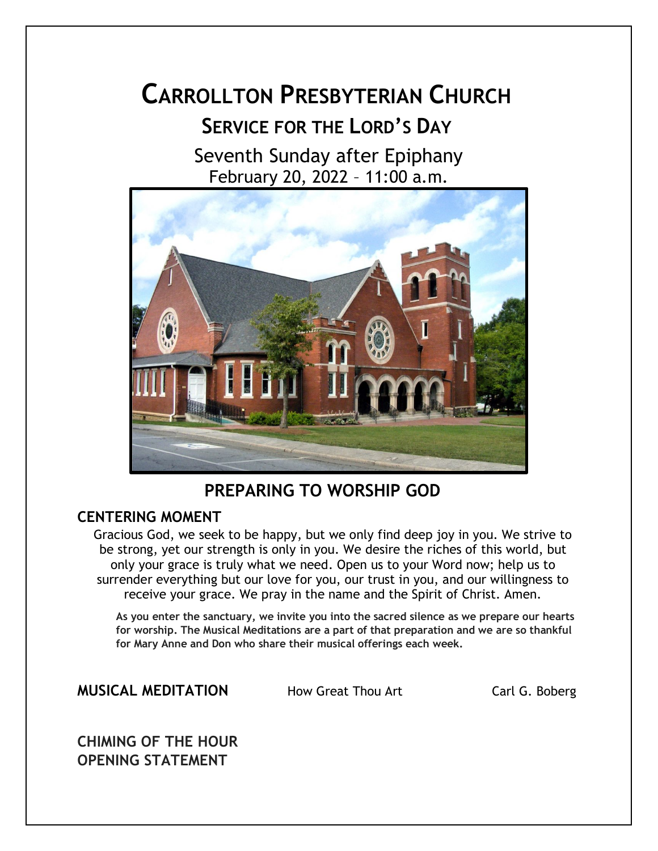# **CARROLLTON PRESBYTERIAN CHURCH SERVICE FOR THE LORD'S DAY**

Seventh Sunday after Epiphany February 20, 2022 – 11:00 a.m.



## **PREPARING TO WORSHIP GOD**

#### **CENTERING MOMENT**

Gracious God, we seek to be happy, but we only find deep joy in you. We strive to be strong, yet our strength is only in you. We desire the riches of this world, but only your grace is truly what we need. Open us to your Word now; help us to surrender everything but our love for you, our trust in you, and our willingness to receive your grace. We pray in the name and the Spirit of Christ. Amen.

**As you enter the sanctuary, we invite you into the sacred silence as we prepare our hearts for worship. The Musical Meditations are a part of that preparation and we are so thankful for Mary Anne and Don who share their musical offerings each week.**

**MUSICAL MEDITATION** How Great Thou Art Carl G. Boberg

**CHIMING OF THE HOUR OPENING STATEMENT**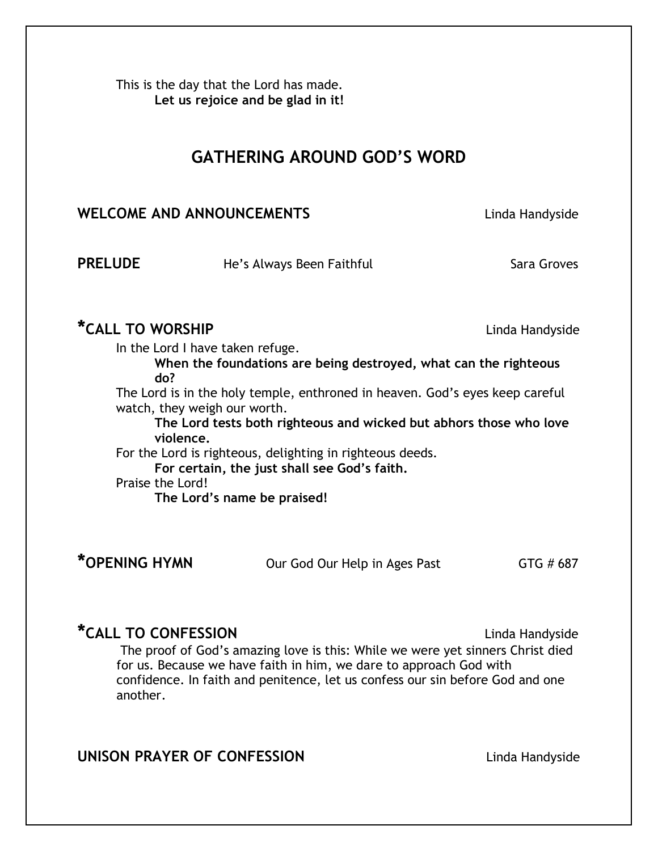This is the day that the Lord has made. **Let us rejoice and be glad in it!**

## **GATHERING AROUND GOD'S WORD**

#### **WELCOME AND ANNOUNCEMENTS** Linda Handyside

**PRELUDE He's Always Been Faithful** Sara Groves

## **\*CALL TO WORSHIP** Linda Handyside

In the Lord I have taken refuge.

**When the foundations are being destroyed, what can the righteous do?**

The Lord is in the holy temple, enthroned in heaven. God's eyes keep careful watch, they weigh our worth.

**The Lord tests both righteous and wicked but abhors those who love violence.**

For the Lord is righteous, delighting in righteous deeds.

**For certain, the just shall see God's faith.**

Praise the Lord!

**The Lord's name be praised!**

\*OPENING HYMN **Dur God Our Help in Ages Past** GTG # 687

## **\*CALL TO CONFESSION** Linda Handyside

The proof of God's amazing love is this: While we were yet sinners Christ died for us. Because we have faith in him, we dare to approach God with confidence. In faith and penitence, let us confess our sin before God and one another.

## **UNISON PRAYER OF CONFESSION** Linda Handyside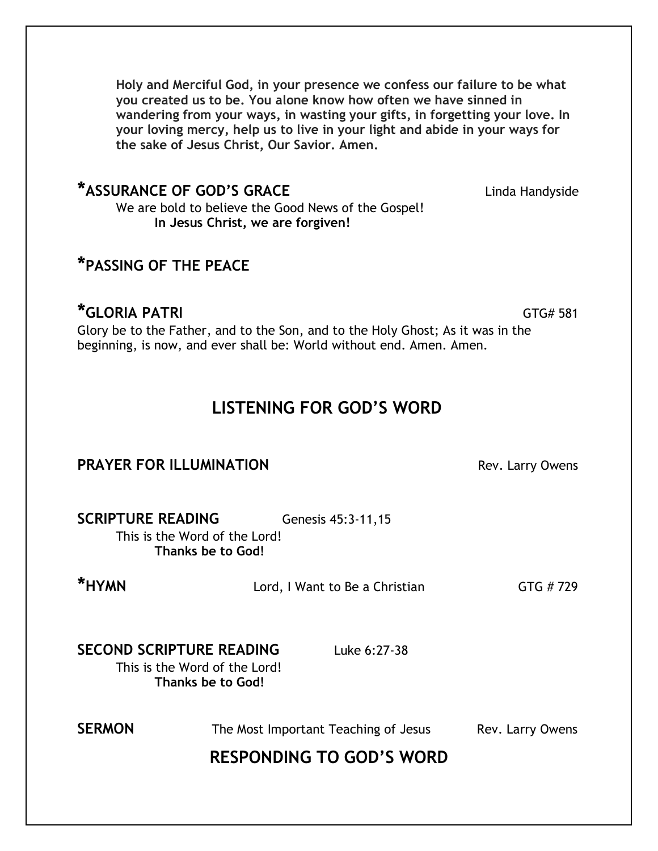**Holy and Merciful God, in your presence we confess our failure to be what you created us to be. You alone know how often we have sinned in wandering from your ways, in wasting your gifts, in forgetting your love. In your loving mercy, help us to live in your light and abide in your ways for the sake of Jesus Christ, Our Savior. Amen.**

## **\*ASSURANCE OF GOD'S GRACE** Linda Handyside

We are bold to believe the Good News of the Gospel! **In Jesus Christ, we are forgiven!**

## **\*PASSING OF THE PEACE**

## **\*GLORIA PATRI** GTG# 581

Glory be to the Father, and to the Son, and to the Holy Ghost; As it was in the beginning, is now, and ever shall be: World without end. Amen. Amen.

## **LISTENING FOR GOD'S WORD**

## **PRAYER FOR ILLUMINATION Rev. Larry Owens**

**SCRIPTURE READING Genesis 45:3-11,15** This is the Word of the Lord! **Thanks be to God!**

**\*HYMN** Lord, I Want to Be a Christian GTG # 729

## **SECOND SCRIPTURE READING** Luke 6:27-38

This is the Word of the Lord! **Thanks be to God!**

**SERMON** The Most Important Teaching of Jesus Rev. Larry Owens

## **RESPONDING TO GOD'S WORD**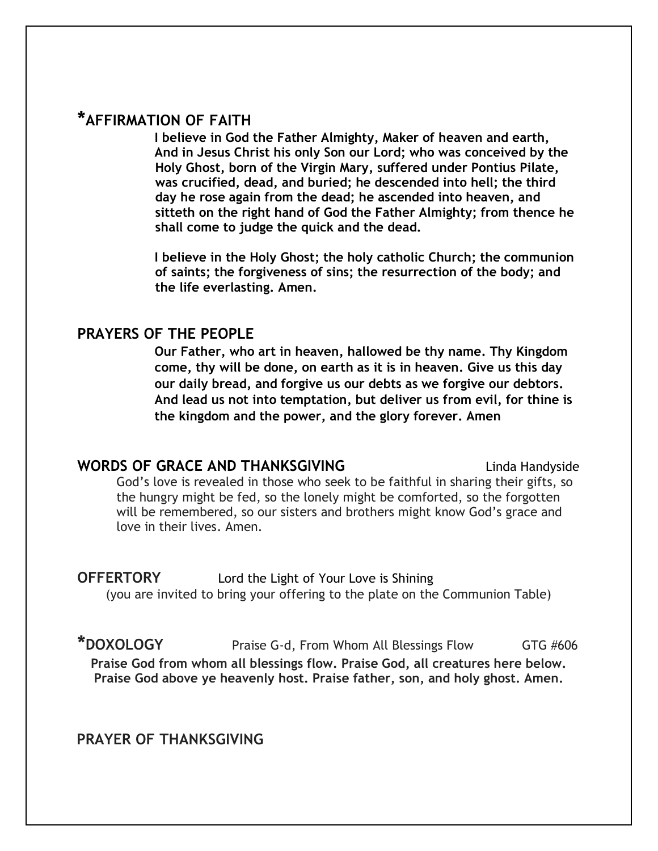## **\*AFFIRMATION OF FAITH**

**I believe in God the Father Almighty, Maker of heaven and earth, And in Jesus Christ his only Son our Lord; who was conceived by the Holy Ghost, born of the Virgin Mary, suffered under Pontius Pilate, was crucified, dead, and buried; he descended into hell; the third day he rose again from the dead; he ascended into heaven, and sitteth on the right hand of God the Father Almighty; from thence he shall come to judge the quick and the dead.** 

**I believe in the Holy Ghost; the holy catholic Church; the communion of saints; the forgiveness of sins; the resurrection of the body; and the life everlasting. Amen.** 

#### **PRAYERS OF THE PEOPLE**

**Our Father, who art in heaven, hallowed be thy name. Thy Kingdom come, thy will be done, on earth as it is in heaven. Give us this day our daily bread, and forgive us our debts as we forgive our debtors. And lead us not into temptation, but deliver us from evil, for thine is the kingdom and the power, and the glory forever. Amen** 

#### **WORDS OF GRACE AND THANKSGIVING** Linda Handyside

God's love is revealed in those who seek to be faithful in sharing their gifts, so the hungry might be fed, so the lonely might be comforted, so the forgotten will be remembered, so our sisters and brothers might know God's grace and love in their lives. Amen.

**OFFERTORY** Lord the Light of Your Love is Shining (you are invited to bring your offering to the plate on the Communion Table)

**\*DOXOLOGY** Praise G-d, From Whom All Blessings Flow GTG #606 **Praise God from whom all blessings flow. Praise God, all creatures here below. Praise God above ye heavenly host. Praise father, son, and holy ghost. Amen.**

**PRAYER OF THANKSGIVING**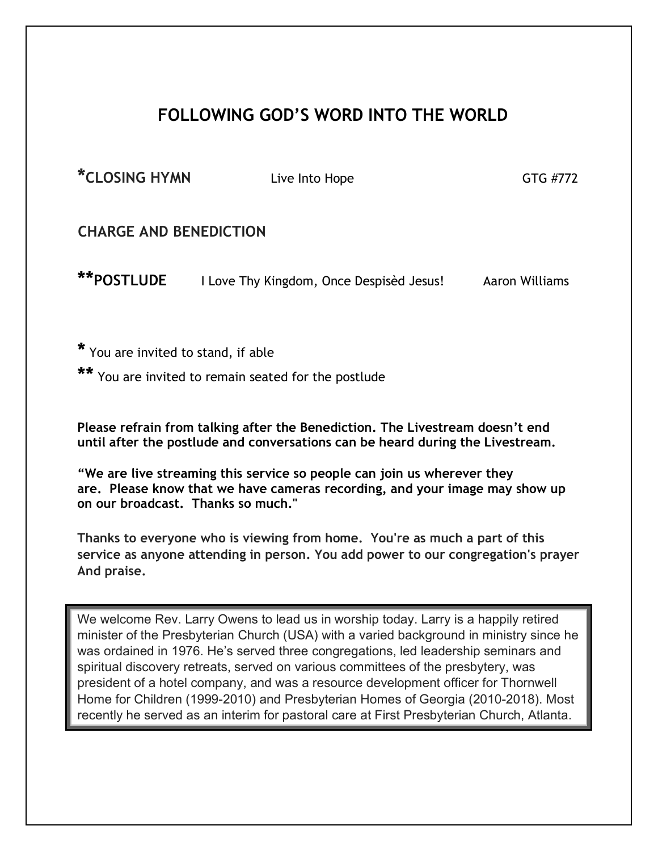## **FOLLOWING GOD'S WORD INTO THE WORLD**

\*CLOSING HYMN Live Into Hope **GTG #772** 

#### **CHARGE AND BENEDICTION**

**\*\*POSTLUDE** I Love Thy Kingdom, Once Despisèd Jesus! Aaron Williams

**\*** You are invited to stand, if able

**\*\*** You are invited to remain seated for the postlude

**Please refrain from talking after the Benediction. The Livestream doesn't end until after the postlude and conversations can be heard during the Livestream.**

**"We are live streaming this service so people can join us wherever they are. Please know that we have cameras recording, and your image may show up on our broadcast. Thanks so much."**

**Thanks to everyone who is viewing from home. You're as much a part of this service as anyone attending in person. You add power to our congregation's prayer And praise.**

We welcome Rev. Larry Owens to lead us in worship today. Larry is a happily retired minister of the Presbyterian Church (USA) with a varied background in ministry since he was ordained in 1976. He's served three congregations, led leadership seminars and spiritual discovery retreats, served on various committees of the presbytery, was president of a hotel company, and was a resource development officer for Thornwell Home for Children (1999-2010) and Presbyterian Homes of Georgia (2010-2018). Most recently he served as an interim for pastoral care at First Presbyterian Church, Atlanta.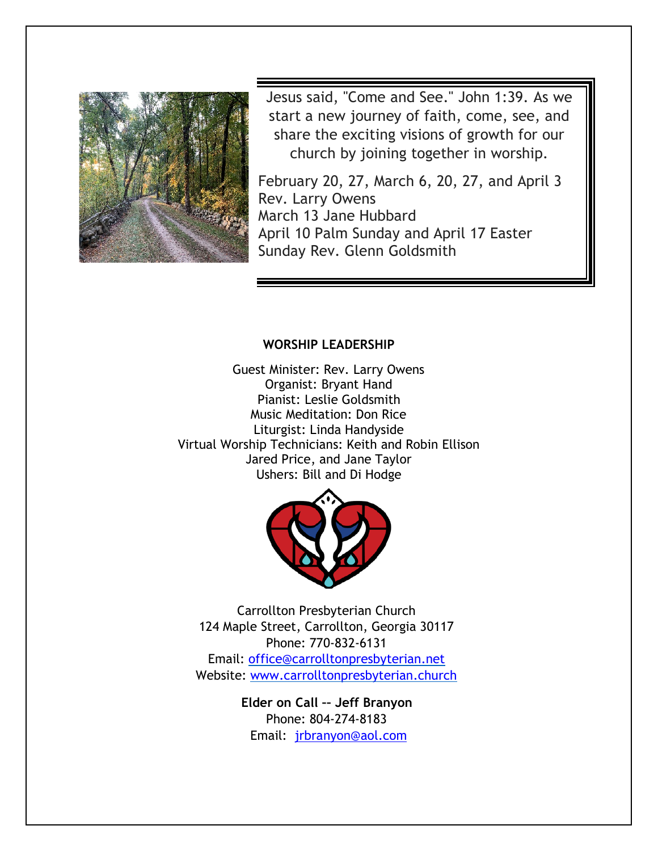

Jesus said, "Come and See." John 1:39. As we start a new journey of faith, come, see, and share the exciting visions of growth for our church by joining together in worship.

February 20, 27, March 6, 20, 27, and April 3 Rev. Larry Owens March 13 Jane Hubbard April 10 Palm Sunday and April 17 Easter Sunday Rev. Glenn Goldsmith

#### **WORSHIP LEADERSHIP**

Guest Minister: Rev. Larry Owens Organist: Bryant Hand Pianist: Leslie Goldsmith Music Meditation: Don Rice Liturgist: Linda Handyside Virtual Worship Technicians: Keith and Robin Ellison Jared Price, and Jane Taylor Ushers: Bill and Di Hodge



Carrollton Presbyterian Church 124 Maple Street, Carrollton, Georgia 30117 Phone: 770-832-6131 Email: office@carrolltonpresbyterian.net Website: www.carrolltonpresbyterian.church

> **Elder on Call –– Jeff Branyon** Phone: 804-274-8183 Email: jrbranyon@aol.com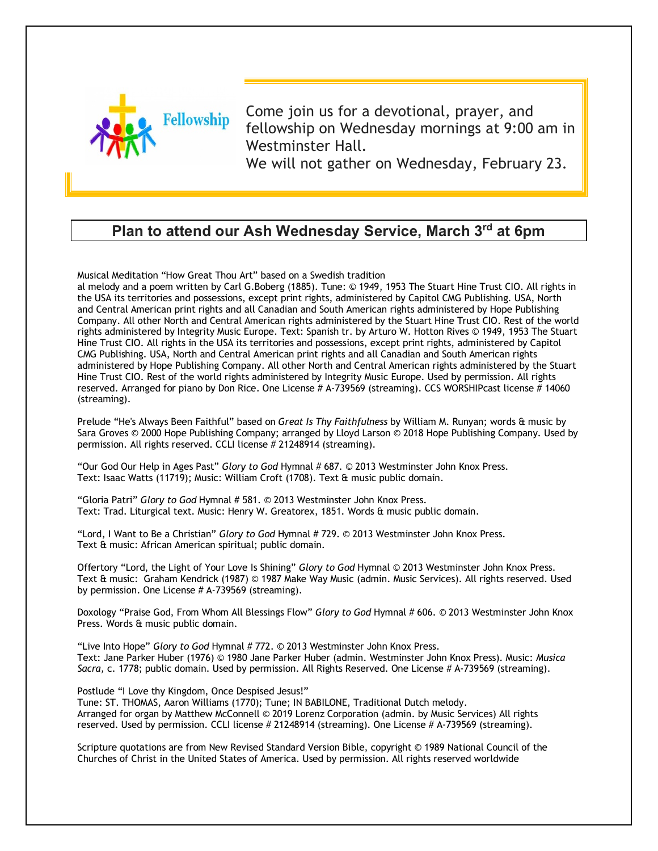

Come join us for a devotional, prayer, and fellowship on Wednesday mornings at 9:00 am in Westminster Hall.

We will not gather on Wednesday, February 23.

### **Plan to attend our Ash Wednesday Service, March 3rd at 6pm**

Musical Meditation "How Great Thou Art" based on a Swedish tradition

al melody and a poem written by Carl G.Boberg (1885). Tune: © 1949, 1953 The Stuart Hine Trust CIO. All rights in the USA its territories and possessions, except print rights, administered by Capitol CMG Publishing. USA, North and Central American print rights and all Canadian and South American rights administered by Hope Publishing Company. All other North and Central American rights administered by the Stuart Hine Trust CIO. Rest of the world rights administered by Integrity Music Europe. Text: Spanish tr. by Arturo W. Hotton Rives © 1949, 1953 The Stuart Hine Trust CIO. All rights in the USA its territories and possessions, except print rights, administered by Capitol CMG Publishing. USA, North and Central American print rights and all Canadian and South American rights administered by Hope Publishing Company. All other North and Central American rights administered by the Stuart Hine Trust CIO. Rest of the world rights administered by Integrity Music Europe. Used by permission. All rights reserved. Arranged for piano by Don Rice. One License # A-739569 (streaming). CCS WORSHIPcast license # 14060 (streaming).

Prelude "He's Always Been Faithful" based on *Great Is Thy Faithfulness* by William M. Runyan; words & music by Sara Groves © 2000 Hope Publishing Company; arranged by Lloyd Larson © 2018 Hope Publishing Company. Used by permission. All rights reserved. CCLI license # 21248914 (streaming).

"Our God Our Help in Ages Past" *Glory to God* Hymnal # 687. © 2013 Westminster John Knox Press. Text: Isaac Watts (11719); Music: William Croft (1708). Text & music public domain.

"Gloria Patri" *Glory to God* Hymnal # 581. © 2013 Westminster John Knox Press. Text: Trad. Liturgical text. Music: Henry W. Greatorex, 1851. Words & music public domain.

"Lord, I Want to Be a Christian" *Glory to God* Hymnal # 729. © 2013 Westminster John Knox Press. Text & music: African American spiritual; public domain.

Offertory "Lord, the Light of Your Love Is Shining" *Glory to God* Hymnal © 2013 Westminster John Knox Press. Text & music: Graham Kendrick (1987) © 1987 Make Way Music (admin. Music Services). All rights reserved. Used by permission. One License # A-739569 (streaming).

Doxology "Praise God, From Whom All Blessings Flow" *Glory to God* Hymnal # 606. © 2013 Westminster John Knox Press. Words & music public domain.

"Live Into Hope" *Glory to God* Hymnal # 772. © 2013 Westminster John Knox Press. Text: Jane Parker Huber (1976) © 1980 Jane Parker Huber (admin. Westminster John Knox Press). Music: *Musica Sacra,* c. 1778; public domain. Used by permission. All Rights Reserved. One License # A-739569 (streaming).

Postlude "I Love thy Kingdom, Once Despised Jesus!"

Tune: ST. THOMAS, Aaron Williams (1770); Tune; IN BABILONE, Traditional Dutch melody. Arranged for organ by Matthew McConnell © 2019 Lorenz Corporation (admin. by Music Services) All rights reserved. Used by permission. CCLI license # 21248914 (streaming). One License # A-739569 (streaming).

Scripture quotations are from New Revised Standard Version Bible, copyright © 1989 National Council of the Churches of Christ in the United States of America. Used by permission. All rights reserved worldwide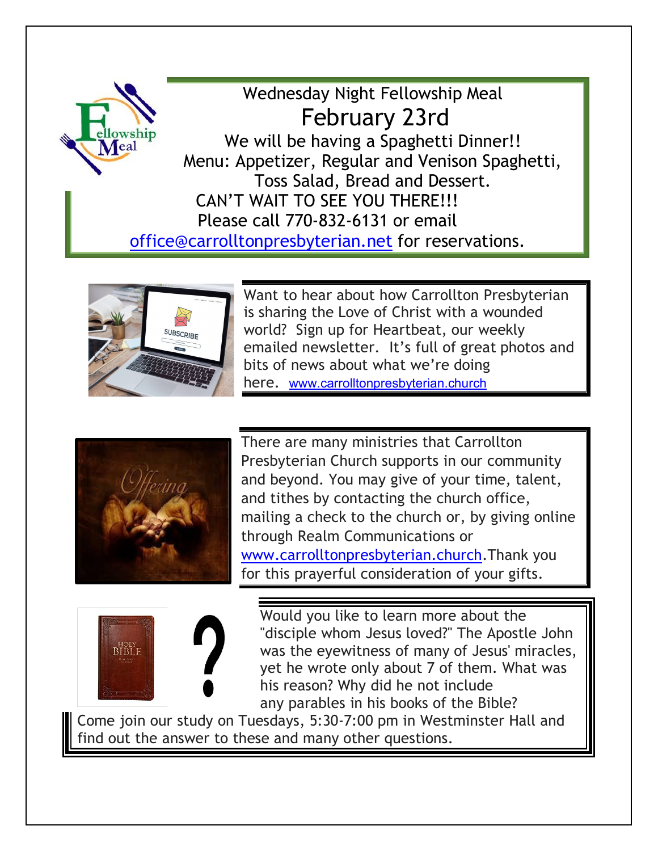



Want to hear about how Carrollton Presbyterian is sharing the Love of Christ with a wounded world? Sign up for Heartbeat, our weekly emailed newsletter. It's full of great photos and bits of news about what we're doing here. www.carrolltonpresbyterian.church



There are many ministries that Carrollton Presbyterian Church supports in our community and beyond. You may give of your time, talent, and tithes by contacting the church office, mailing a check to the church or, by giving online through Realm Communications or www.carrolltonpresbyterian.church.Thank you for this prayerful consideration of your gifts.



Would you like to learn more about the "disciple whom Jesus loved?" The Apostle John was the eyewitness of many of Jesus' miracles, yet he wrote only about 7 of them. What was his reason? Why did he not include any parables in his books of the Bible?

Come join our study on Tuesdays, 5:30-7:00 pm in Westminster Hall and find out the answer to these and many other questions.